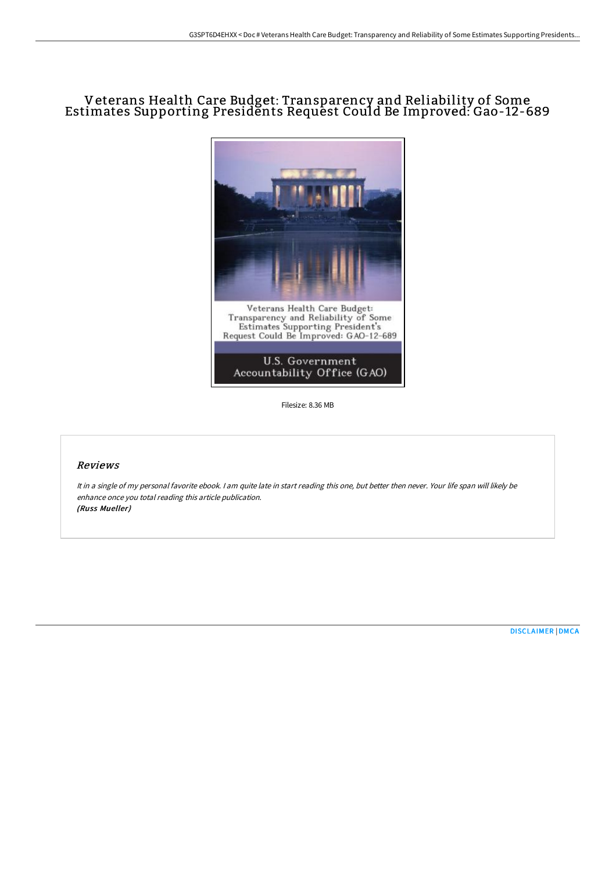# Veterans Health Care Budget: Transparency and Reliability of Some Estimates Supporting Presidents Request Could Be Improved: Gao-12-689



Filesize: 8.36 MB

## Reviews

It in <sup>a</sup> single of my personal favorite ebook. <sup>I</sup> am quite late in start reading this one, but better then never. Your life span will likely be enhance once you total reading this article publication. (Russ Mueller)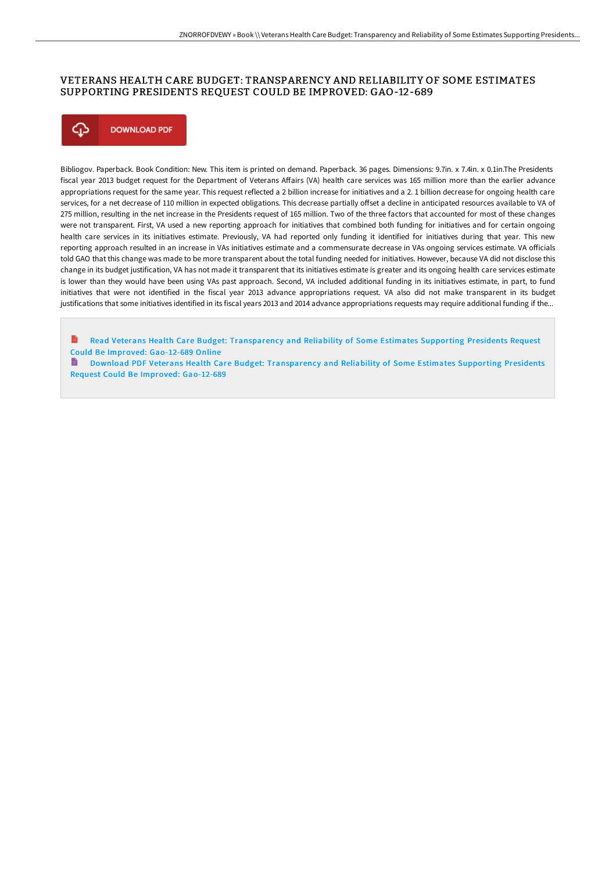#### VETERANS HEALTH CARE BUDGET: TRANSPARENCY AND RELIABILITY OF SOME ESTIMATES SUPPORTING PRESIDENTS REQUEST COULD BE IMPROVED: GAO-12-689



Bibliogov. Paperback. Book Condition: New. This item is printed on demand. Paperback. 36 pages. Dimensions: 9.7in. x 7.4in. x 0.1in.The Presidents fiscal year 2013 budget request for the Department of Veterans Affairs (VA) health care services was 165 million more than the earlier advance appropriations request for the same year. This request reflected a 2 billion increase for initiatives and a 2. 1 billion decrease for ongoing health care services, for a net decrease of 110 million in expected obligations. This decrease partially offset a decline in anticipated resources available to VA of 275 million, resulting in the net increase in the Presidents request of 165 million. Two of the three factors that accounted for most of these changes were not transparent. First, VA used a new reporting approach for initiatives that combined both funding for initiatives and for certain ongoing health care services in its initiatives estimate. Previously, VA had reported only funding it identified for initiatives during that year. This new reporting approach resulted in an increase in VAs initiatives estimate and a commensurate decrease in VAs ongoing services estimate. VA officials told GAO that this change was made to be more transparent about the total funding needed for initiatives. However, because VA did not disclose this change in its budget justification, VA has not made it transparent that its initiatives estimate is greater and its ongoing health care services estimate is lower than they would have been using VAs past approach. Second, VA included additional funding in its initiatives estimate, in part, to fund initiatives that were not identified in the fiscal year 2013 advance appropriations request. VA also did not make transparent in its budget justifications that some initiatives identified in its fiscal years 2013 and 2014 advance appropriations requests may require additional funding if the...

B Read Veterans Health Care Budget: [Transparency](http://techno-pub.tech/veterans-health-care-budget-transparency-and-rel-1.html) and Reliability of Some Estimates Supporting Presidents Request Could Be Improved: Gao-12-689 Online

■ Download PDF Veterans Health Care Budget: [Transparency](http://techno-pub.tech/veterans-health-care-budget-transparency-and-rel-1.html) and Reliability of Some Estimates Supporting Presidents Request Could Be Improved: Gao-12-689